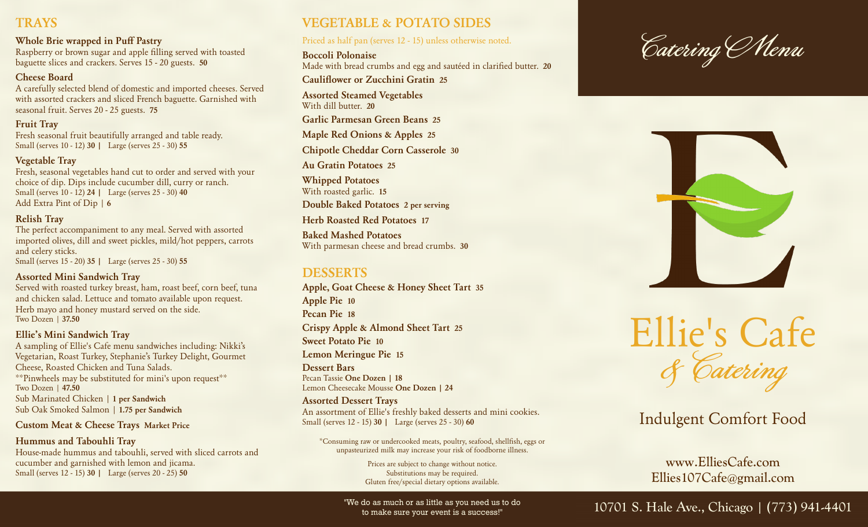## **TRAYS**

#### **Whole Brie wrapped in Puff Pastry**

Raspberry or brown sugar and apple filling served with toasted baguette slices and crackers. Serves 15 - 20 guests. **50**

#### **Cheese Board**

A carefully selected blend of domestic and imported cheeses. Served with assorted crackers and sliced French baguette. Garnished with seasonal fruit. Serves 20 - 25 guests. **75**

**Fruit Tray** Fresh seasonal fruit beautifully arranged and table ready. Small (serves 10 - 12) **30 |** Large (serves 25 - 30) **55**

#### **Vegetable Tray**

Fresh, seasonal vegetables hand cut to order and served with your choice of dip. Dips include cucumber dill, curry or ranch. Small (serves 10 - 12) **24 |** Large (serves 25 - 30) **40** Add Extra Pint of Dip | **6**

#### **Relish Tray**

The perfect accompaniment to any meal. Served with assorted imported olives, dill and sweet pickles, mild/hot peppers, carrots and celery sticks. Small (serves 15 - 20) **35 |** Large (serves 25 - 30) **55**

#### **Assorted Mini Sandwich Tray**

Served with roasted turkey breast, ham, roast beef, corn beef, tuna and chicken salad. Lettuce and tomato available upon request. Herb mayo and honey mustard served on the side. Two Dozen | **37.50**

#### **Ellie's Mini Sandwich Tray**

A sampling of Ellie's Cafe menu sandwiches including: Nikki's Vegetarian, Roast Turkey, Stephanie's Turkey Delight, Gourmet Cheese, Roasted Chicken and Tuna Salads. \*\*Pinwheels may be substituted for mini's upon request\*\* Two Dozen | **47.50** Sub Marinated Chicken | **1 per Sandwich** Sub Oak Smoked Salmon | **1.75 per Sandwich**

#### **Custom Meat & Cheese Trays Market Price**

**Hummus and Tabouhli Tray** House-made hummus and tabouhli, served with sliced carrots and cucumber and garnished with lemon and jicama. Small (serves 12 - 15) **30 |** Large (serves 20 - 25) **50**

## **VEGETABLE & POTATO SIDES**

#### Priced as half pan (serves 12 - 15) unless otherwise noted.

**Boccoli Polonaise** Made with bread crumbs and egg and sautéed in clarified butter. **20**

**Cauliflower or Zucchini Gratin 25**

**Assorted Steamed Vegetables** With dill butter. **20**

**Garlic Parmesan Green Beans 25**

**Maple Red Onions & Apples 25**

**Chipotle Cheddar Corn Casserole 30**

**Au Gratin Potatoes 25**

**Whipped Potatoes**

With roasted garlic. **15**

**Double Baked Potatoes 2 per serving**

**Herb Roasted Red Potatoes 17**

**Baked Mashed Potatoes** With parmesan cheese and bread crumbs. **30**

## **DESSERTS**

**Apple, Goat Cheese & Honey Sheet Tart 35 Apple Pie 10 Pecan Pie 18 Crispy Apple & Almond Sheet Tart 25 Sweet Potato Pie 10 Lemon Meringue Pie 15 Dessert Bars**

Pecan Tassie **One Dozen | 18**  Lemon Cheesecake Mousse **One Dozen | 24**

#### **Assorted Dessert Trays**

An assortment of Ellie's freshly baked desserts and mini cookies. Small (serves 12 - 15) **30 |** Large (serves 25 - 30) **60**

\*Consuming raw or undercooked meats, poultry, seafood, shellfish, eggs or unpasteurized milk may increase your risk of foodborne illness.

> Prices are subject to change without notice. Substitutions may be required. Gluten free/special dietary options available.

to make sure your event is a success!"





Ellie's Cafe & Catering

# Indulgent Comfort Food

www.ElliesCafe.com Ellies107Cafe@gmail.com

"We do as much or as little as you need us to do  $10701$  S. Hale Ave., Chicago  $(773)$  941-4401